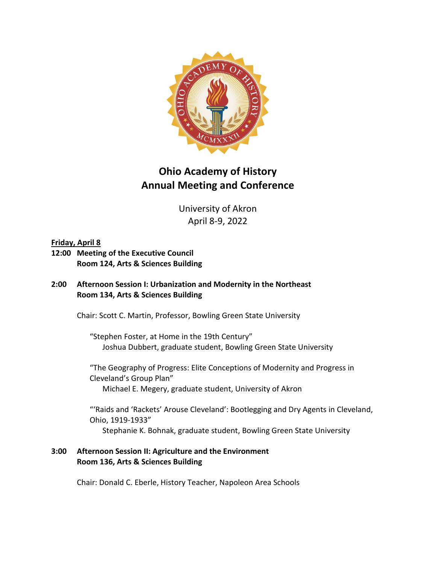

# **Ohio Academy of History Annual Meeting and Conference**

University of Akron April 8-9, 2022

## **Friday, April 8**

**12:00 Meeting of the Executive Council Room 124, Arts & Sciences Building**

## **2:00 Afternoon Session I: Urbanization and Modernity in the Northeast Room 134, Arts & Sciences Building**

Chair: Scott C. Martin, Professor, Bowling Green State University

"Stephen Foster, at Home in the 19th Century" Joshua Dubbert, graduate student, Bowling Green State University

"The Geography of Progress: Elite Conceptions of Modernity and Progress in Cleveland's Group Plan" Michael E. Megery, graduate student, University of Akron

"'Raids and 'Rackets' Arouse Cleveland': Bootlegging and Dry Agents in Cleveland, Ohio, 1919-1933" Stephanie K. Bohnak, graduate student, Bowling Green State University

# **3:00 Afternoon Session II: Agriculture and the Environment Room 136, Arts & Sciences Building**

Chair: Donald C. Eberle, History Teacher, Napoleon Area Schools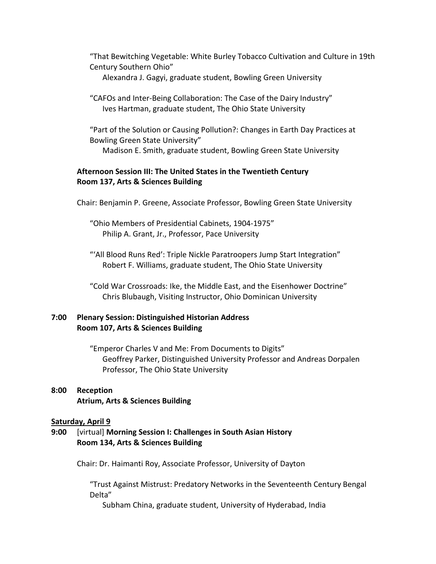"That Bewitching Vegetable: White Burley Tobacco Cultivation and Culture in 19th Century Southern Ohio"

Alexandra J. Gagyi, graduate student, Bowling Green University

"CAFOs and Inter-Being Collaboration: The Case of the Dairy Industry" Ives Hartman, graduate student, The Ohio State University

"Part of the Solution or Causing Pollution?: Changes in Earth Day Practices at Bowling Green State University" Madison E. Smith, graduate student, Bowling Green State University

## **Afternoon Session III: The United States in the Twentieth Century Room 137, Arts & Sciences Building**

Chair: Benjamin P. Greene, Associate Professor, Bowling Green State University

"Ohio Members of Presidential Cabinets, 1904-1975" Philip A. Grant, Jr., Professor, Pace University

"'All Blood Runs Red': Triple Nickle Paratroopers Jump Start Integration" Robert F. Williams, graduate student, The Ohio State University

"Cold War Crossroads: Ike, the Middle East, and the Eisenhower Doctrine" Chris Blubaugh, Visiting Instructor, Ohio Dominican University

### **7:00 Plenary Session: Distinguished Historian Address Room 107, Arts & Sciences Building**

"Emperor Charles V and Me: From Documents to Digits" Geoffrey Parker, Distinguished University Professor and Andreas Dorpalen Professor, The Ohio State University

# **8:00 Reception Atrium, Arts & Sciences Building**

### **Saturday, April 9**

# **9:00** [virtual] **Morning Session I: Challenges in South Asian History Room 134, Arts & Sciences Building**

Chair: Dr. Haimanti Roy, Associate Professor, University of Dayton

"Trust Against Mistrust: Predatory Networks in the Seventeenth Century Bengal Delta"

Subham China, graduate student, University of Hyderabad, India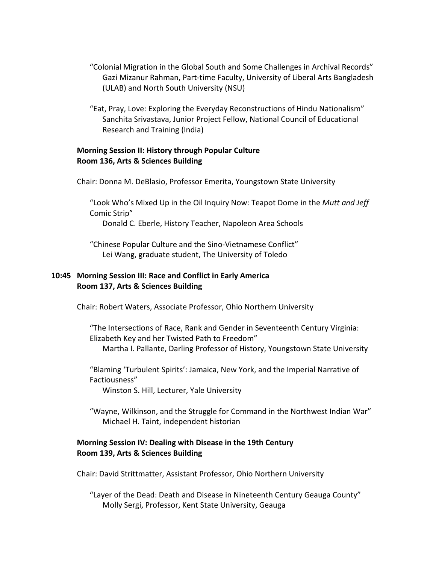- "Colonial Migration in the Global South and Some Challenges in Archival Records" Gazi Mizanur Rahman, Part-time Faculty, University of Liberal Arts Bangladesh (ULAB) and North South University (NSU)
- "Eat, Pray, Love: Exploring the Everyday Reconstructions of Hindu Nationalism" Sanchita Srivastava, Junior Project Fellow, National Council of Educational Research and Training (India)

## **Morning Session II: History through Popular Culture Room 136, Arts & Sciences Building**

Chair: Donna M. DeBlasio, Professor Emerita, Youngstown State University

"Look Who's Mixed Up in the Oil Inquiry Now: Teapot Dome in the *Mutt and Jeff*  Comic Strip"

Donald C. Eberle, History Teacher, Napoleon Area Schools

"Chinese Popular Culture and the Sino-Vietnamese Conflict" Lei Wang, graduate student, The University of Toledo

## **10:45 Morning Session III: Race and Conflict in Early America Room 137, Arts & Sciences Building**

Chair: Robert Waters, Associate Professor, Ohio Northern University

"The Intersections of Race, Rank and Gender in Seventeenth Century Virginia: Elizabeth Key and her Twisted Path to Freedom" Martha I. Pallante, Darling Professor of History, Youngstown State University

"Blaming 'Turbulent Spirits': Jamaica, New York, and the Imperial Narrative of Factiousness"

Winston S. Hill, Lecturer, Yale University

"Wayne, Wilkinson, and the Struggle for Command in the Northwest Indian War" Michael H. Taint, independent historian

## **Morning Session IV: Dealing with Disease in the 19th Century Room 139, Arts & Sciences Building**

Chair: David Strittmatter, Assistant Professor, Ohio Northern University

"Layer of the Dead: Death and Disease in Nineteenth Century Geauga County" Molly Sergi, Professor, Kent State University, Geauga